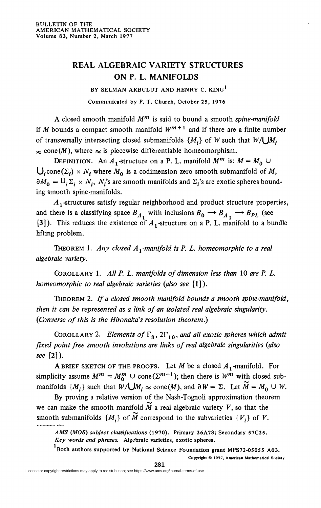## **REAL ALGEBRAIC VARIETY STRUCTURES ON P. L. MANIFOLDS**

**BY SELMAN AKBULUT AND HENRY C. KING<sup>1</sup> Communicated by P. T. Church, October 25, 1976** 

A closed smooth manifold *M<sup>m</sup>* is said to bound a smooth *spine-manifold*  if *M* bounds a compact smooth manifold  $W^{m+1}$  and if there are a finite number of transversally intersecting closed submanifolds  $\{M_i\}$  of W such that  $W/\bigcup M_i$  $\approx$  cone(*M*), where  $\approx$  is piecewise differentiable homeomorphism.

DEFINITION. An  $A_1$ -structure on a P. L. manifold  $M^m$  is:  $M = M_0 \cup$  $\bigcup_i$ cone $(\Sigma_i) \times N_i$  where  $M_0$  is a codimension zero smooth submanifold of M,  $\partial M_0 = \Pi_i \Sigma_i \times N_i$ ,  $N_i$ 's are smooth manifolds and  $\Sigma_i$ 's are exotic spheres bounding smooth spine-manifolds.

*A* j-structures satisfy regular neighborhood and product structure properties, and there is a classifying space  $B_{A_1}$  with inclusions  $B_0 \rightarrow B_{A_1} \rightarrow B_{PL}$  (see [3]). This reduces the existence of  $A_1$ -structure on a P. L. manifold to a bundle lifting problem.

THEOREM 1. Any closed A<sub>1</sub>-manifold is P. L. homeomorphic to a real *algebraic variety.* 

COROLLARY 1. *All P. L. manifolds of dimension less than* 10 *are P. L. homeomorphic to real algebraic varieties (also see* **[1]).** 

THEOREM 2. *If a closed smooth manifold bounds a smooth spine-manifold, then it can be represented as a link of an isolated real algebraic singularity. (Converse of this is the Hironaka's resolution theorem*.)

COROLLARY 2. Elements of  $\Gamma_8$ ,  $2\Gamma_{10}$ , and all exotic spheres which admit *fixed point free smooth involutions are links of real algebraic singularities (also see* [2]).

A BRIEF SKETCH OF THE PROOFS. Let M be a closed  $A_1$ -manifold. For simplicity assume  $M^m = M_0^m \cup \text{cone}(\Sigma^{m-1})$ ; then there is  $W^m$  with closed submanifolds  $\{M_i\}$  such that  $W/\bigcup M_i \approx \text{cone}(M)$ , and  $\partial W = \Sigma$ . Let  $\tilde{M} = M_0 \cup W$ .

By proving a relative version of the Nash-Tognoli approximation theorem we can make the smooth manifold  $\widetilde{M}$  a real algebraic variety V, so that the smooth submanifolds  $\{M_t\}$  of  $\widetilde{M}$  correspond to the subvarieties  $\{V_t\}$  of  $V$ .

<sup>1</sup> Both authors supported by National Science Foundation grant MPS72-05055 A03.

**Copyright © 1977, American Mathematical Society** 

*AMS (MOS) subject classifications* **(1970). Primary 26A78; Secondary 57C25.**  *Key words and phrases.* **Algebraic varieties, exotic spheres.**